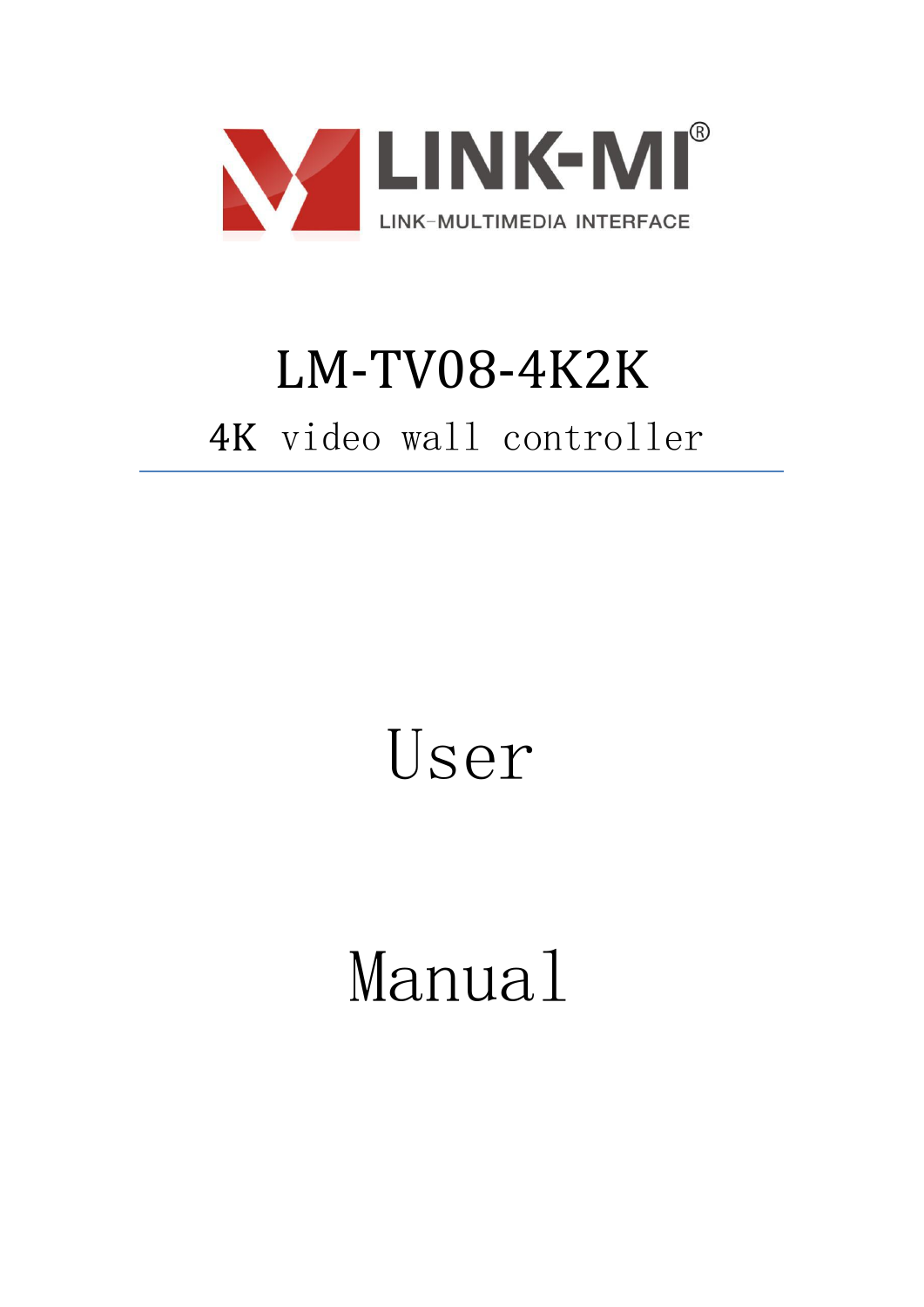

## LM-TV08-4K2K 4K video wall controller

## User

# Manual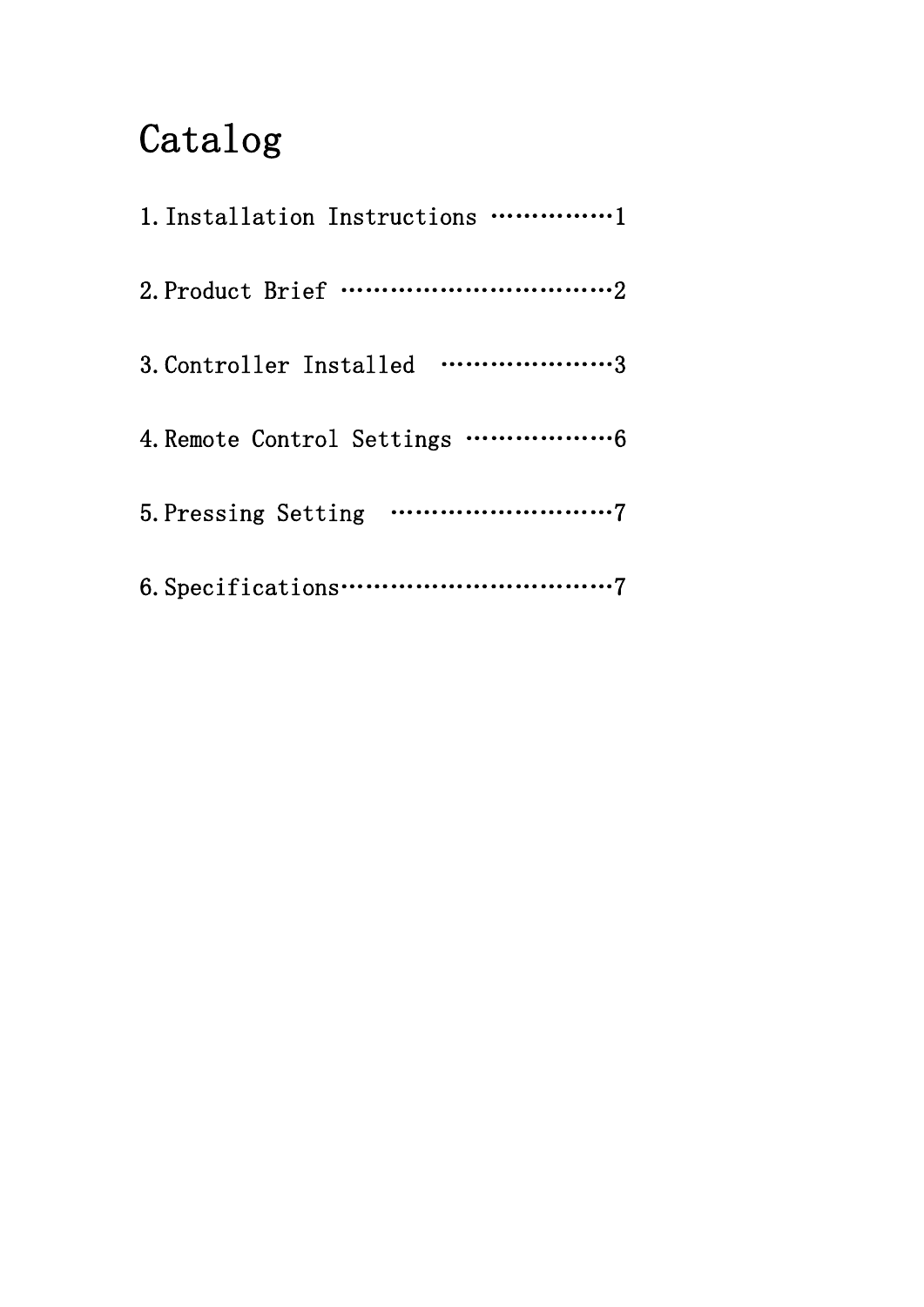### Catalog

| 3. Controller Installed 3 |
|---------------------------|
|                           |
|                           |
|                           |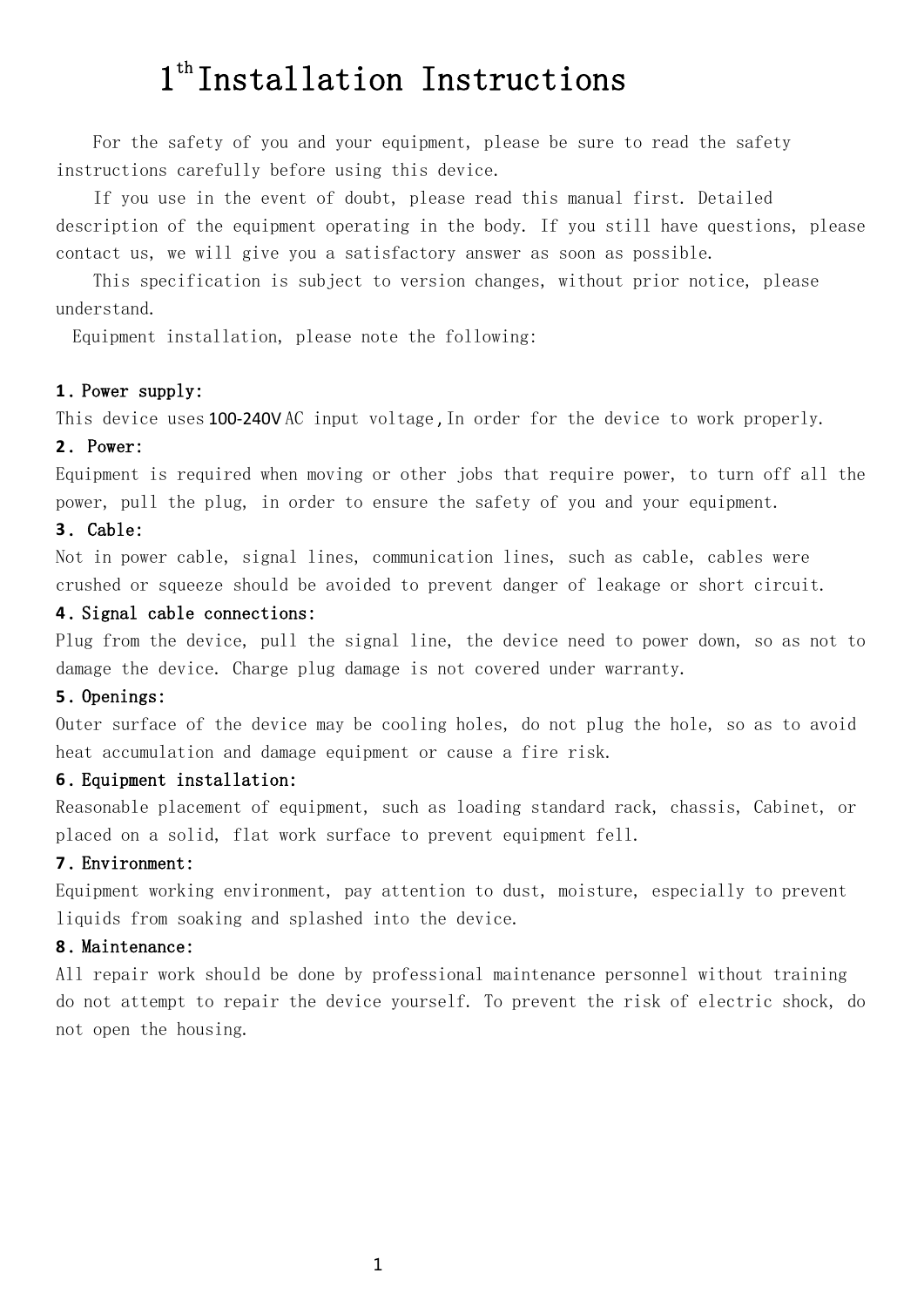### 1<sup>th</sup> Installation Instructions

For the safety of you and your equipment, please be sure to read the safety instructions carefully before using this device.

If you use in the event of doubt, please read this manual first. Detailed description of the equipment operating in the body. If you still have questions, please contact us, we will give you a satisfactory answer as soon as possible.

This specification is subject to version changes, without prior notice, please understand.

Equipment installation, please note the following:

#### **1** . Power supply:

This device uses 100-240VAC input voltage, In order for the device to work properly.

#### **2** . Power:

Equipment is required when moving or other jobs that require power, to turn off all the power, pull the plug, in order to ensure the safety of you and your equipment.

#### **3** . Cable:

Not in power cable, signal lines, communication lines, such as cable, cables were crushed or squeeze should be avoided to prevent danger of leakage or short circuit.

### **4** . Signal cable connections:

Plug from the device, pull the signal line, the device need to power down, so as not to damage the device. Charge plug damage is not covered under warranty.

### **5** . Openings:

Outer surface of the device may be cooling holes, do not plug the hole, so as to avoid heat accumulation and damage equipment or cause a fire risk.

#### **6** . Equipment installation:

Reasonable placement of equipment, such as loading standard rack, chassis, Cabinet, or placed on a solid, flat work surface to prevent equipment fell.

#### **7** . Environment:

Equipment working environment, pay attention to dust, moisture, especially to prevent liquids from soaking and splashed into the device.

#### **8** . Maintenance:

All repair work should be done by professional maintenance personnel without training do not attempt to repair the device yourself. To prevent the risk of electric shock, do not open the housing.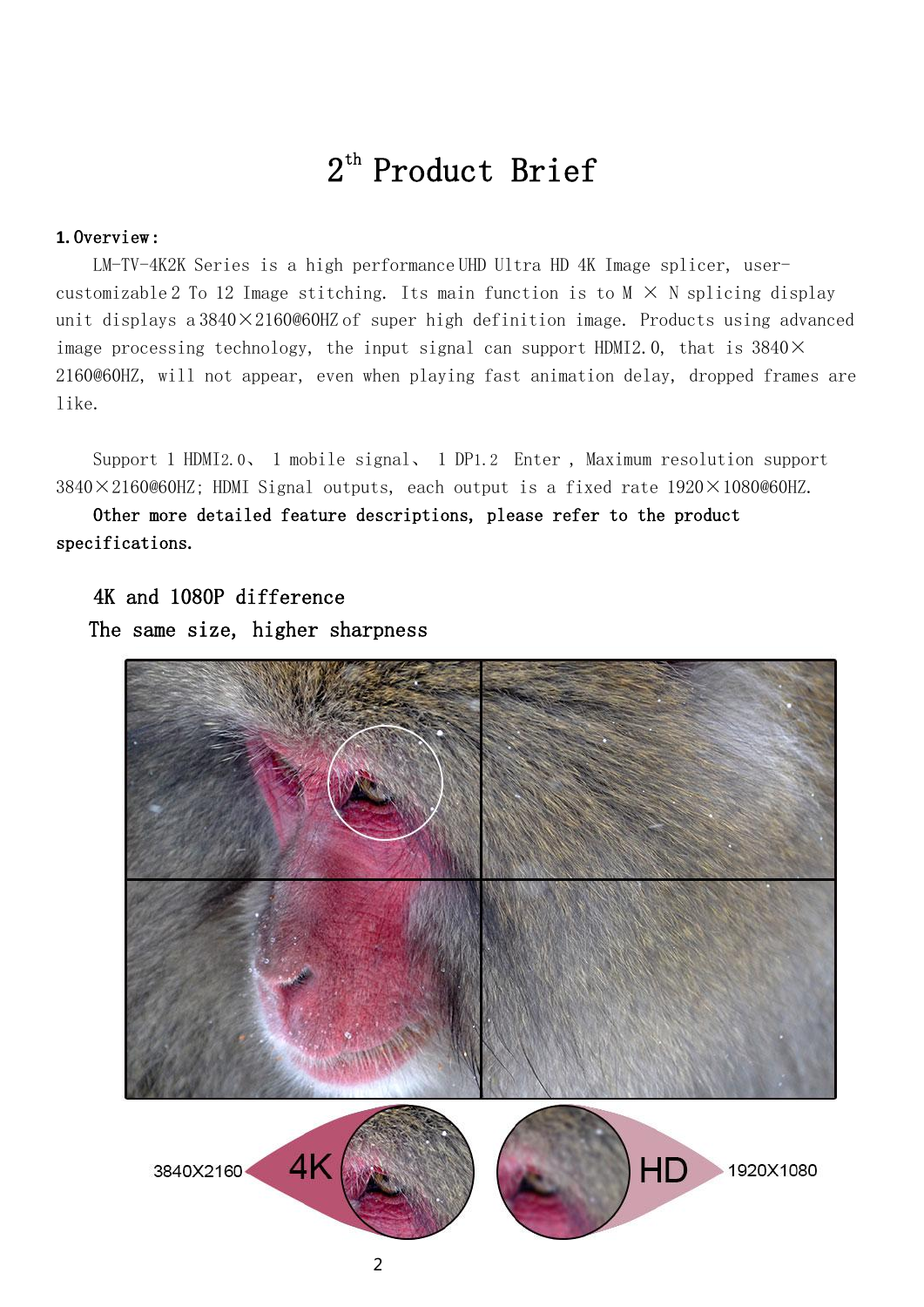### 2 th Product Brief

### **1.** Overview **:**

LM-TV-4K2K Series is a high performance UHD Ultra HD 4K Image splicer, usercustomizable 2 To 12 Image stitching. Its main function is to  $M \times N$  splicing display unit displays a  $3840 \times 2160$  @60HZ of super high definition image. Products using advanced image processing technology, the input signal can support HDMI2.0, that is  $3840\times$ 2160@60HZ, will not appear, even when playing fast animation delay, dropped frames are like.

Support 1 HDMI2.0、 1 mobile signal、 1 DP1.2 Enter , Maximum resolution support  $3840\times2160@60$ HZ; HDMI Signal outputs, each output is a fixed rate  $1920\times1080@60$ HZ.

Other more detailed feature descriptions, please refer to the product specifications.

4K and 1080P difference The same size, higher sharpness



2

1920X1080

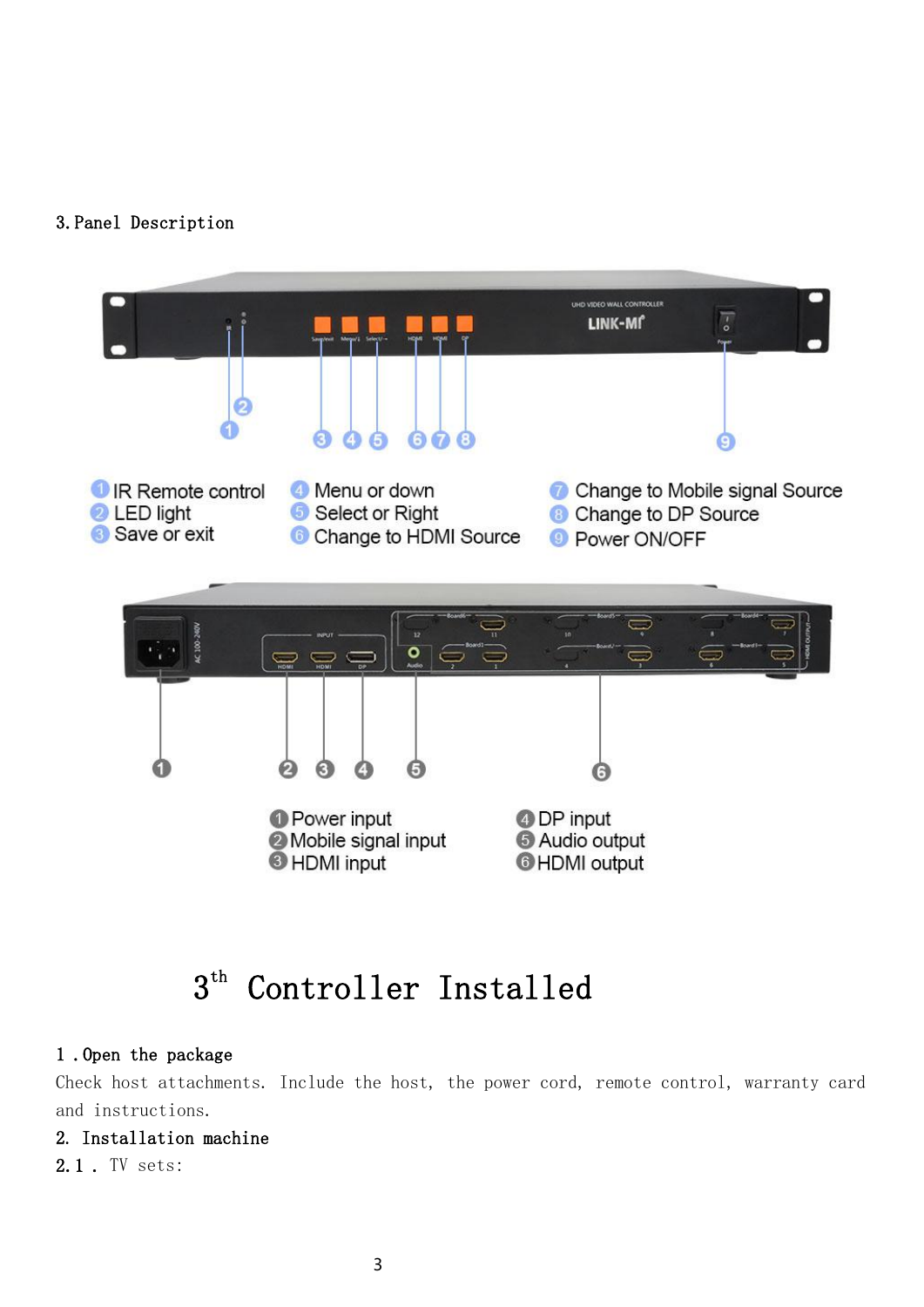### 3.Panel Description



### 3 th Controller Installed

### 1 .Open the package

Check host attachments. Include the host, the power cord, remote control, warranty card and instructions.

### 2. Installation machine

2.1 . TV sets: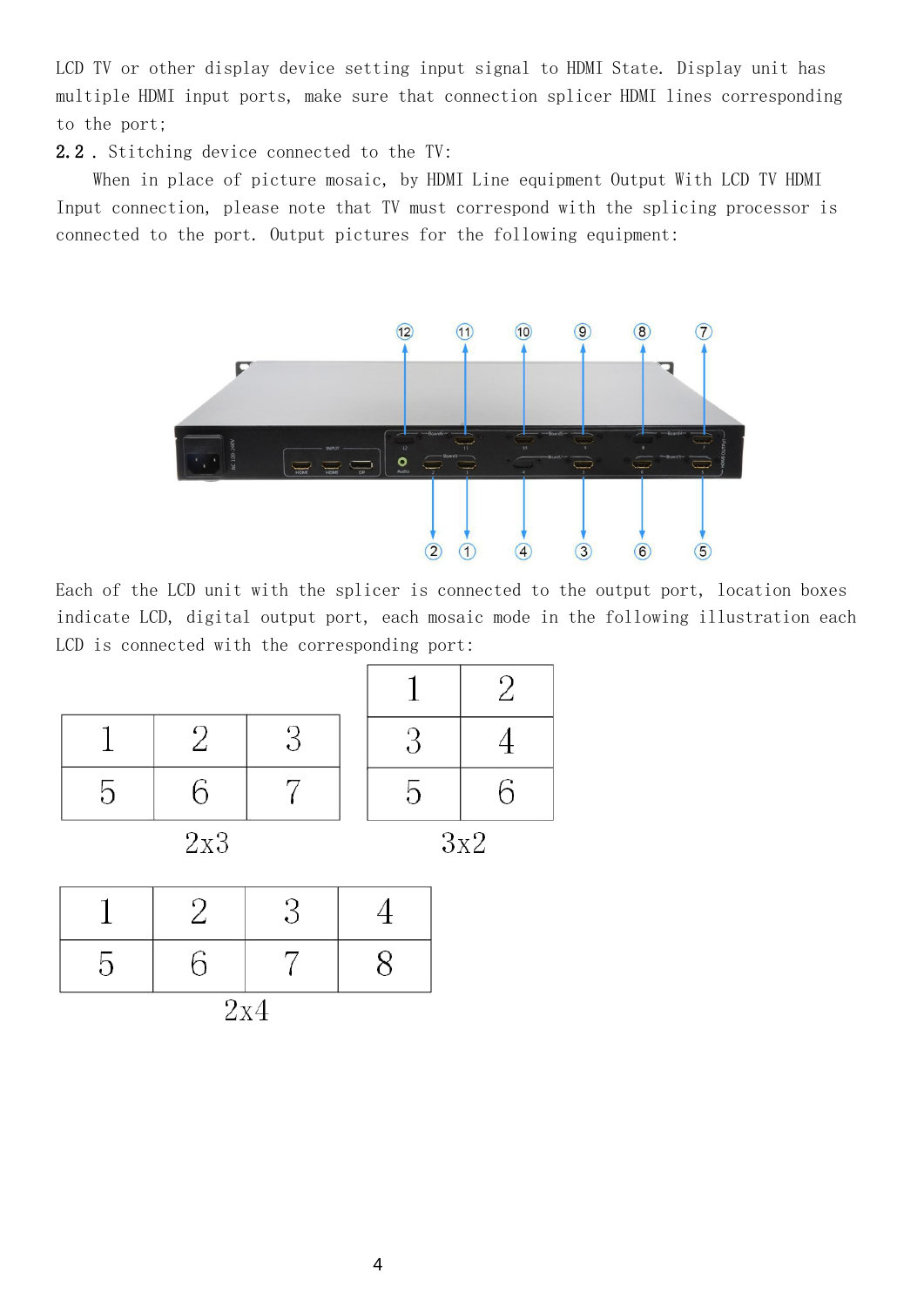LCD TV or other display device setting input signal to HDMI State. Display unit has multiple HDMI input ports, make sure that connection splicer HDMI lines corresponding to the port;

2.2 . Stitching device connected to the TV:

When in place of picture mosaic, by HDMI Line equipment Output With LCD TV HDMI Input connection, please note that TV must correspond with the splicing processor is connected to the port. Output pictures for the following equipment:



Each of the LCD unit with the splicer is connected to the output port, location boxes indicate LCD, digital output port, each mosaic mode in the following illustration each LCD is connected with the corresponding port:

 $\overline{2}$ 

4

6

 $\overline{2}$ 

| $\Omega$ | ົ່າ |  |    |  |
|----------|-----|--|----|--|
|          | 2x3 |  | }х |  |

| - 1 |     |  |
|-----|-----|--|
|     | 2x4 |  |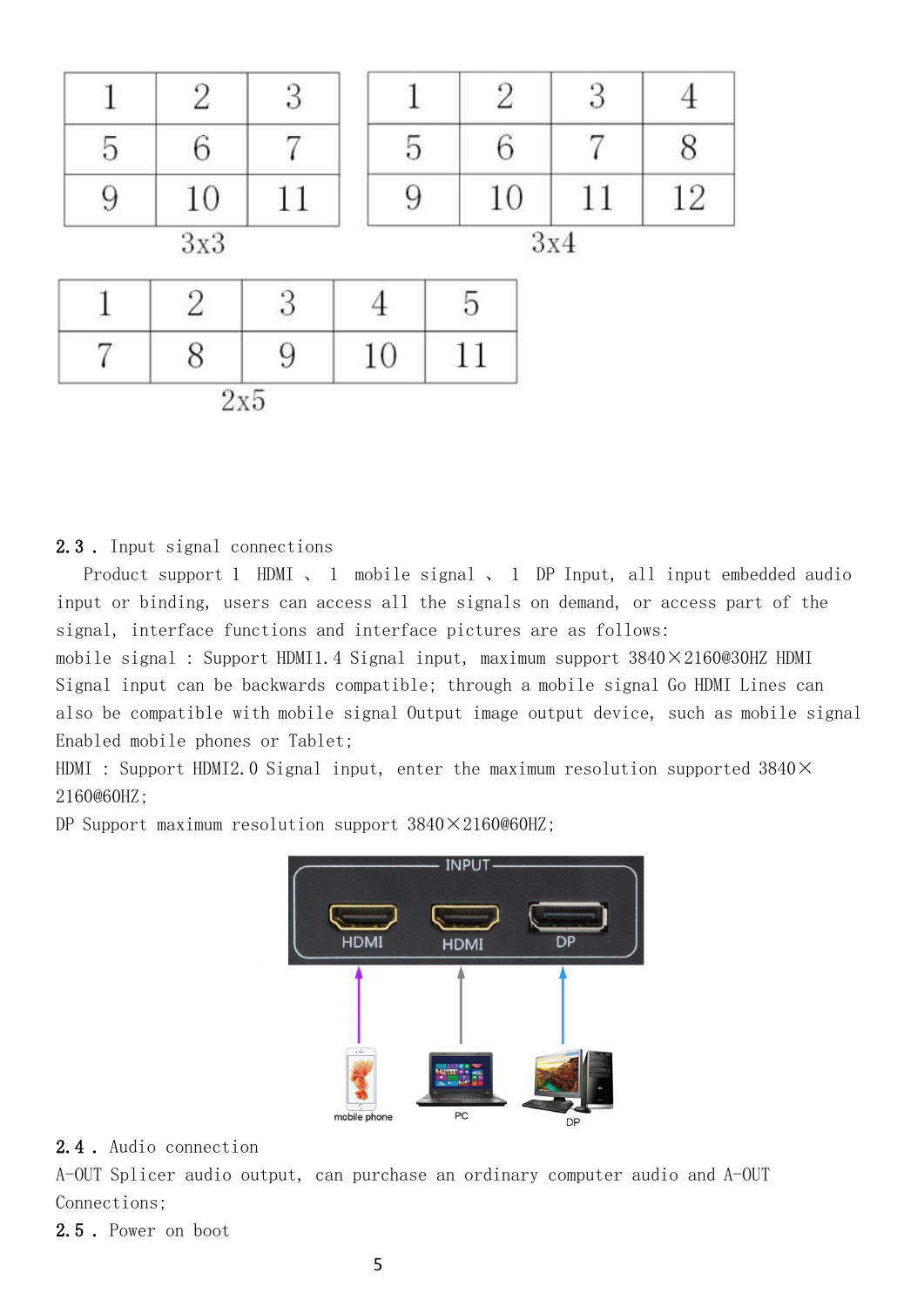|   | 2              | 3 |    |    | $\overline{2}$ | 3   |    |
|---|----------------|---|----|----|----------------|-----|----|
| 5 | 6              |   | 5  |    |                |     |    |
| 9 | 10             |   | 9  |    | 10             | 11  | 12 |
|   | 3x3            |   |    |    |                | 3x4 |    |
|   | $\overline{2}$ | 3 |    | 5  |                |     |    |
|   | 8              |   | 10 | 11 |                |     |    |
|   | $2\mathrm{x}5$ |   |    |    |                |     |    |

### 2.3 . Input signal connections

Product support 1 HDMI, 1 mobile signal, 1 DP Input, all input embedded audio input or binding, users can access all the signals on demand, or access part of the signal, interface functions and interface pictures are as follows:

mobile signal : Support HDMI1.4 Signal input, maximum support 3840×2160@30HZ HDMI Signal input can be backwards compatible; through a mobile signal Go HDMI Lines can also be compatible with mobile signal Output image output device, such as mobile signal Enabled mobile phones or Tablet;

HDMI : Support HDMI2.0 Signal input, enter the maximum resolution supported 3840× 2160@60HZ;

DP Support maximum resolution support  $3840 \times 2160@60$ HZ;



### 2.4 . Audio connection

A-OUT Splicer audio output, can purchase an ordinary computer audio and A-OUT Connections;

2.5 . Power on boot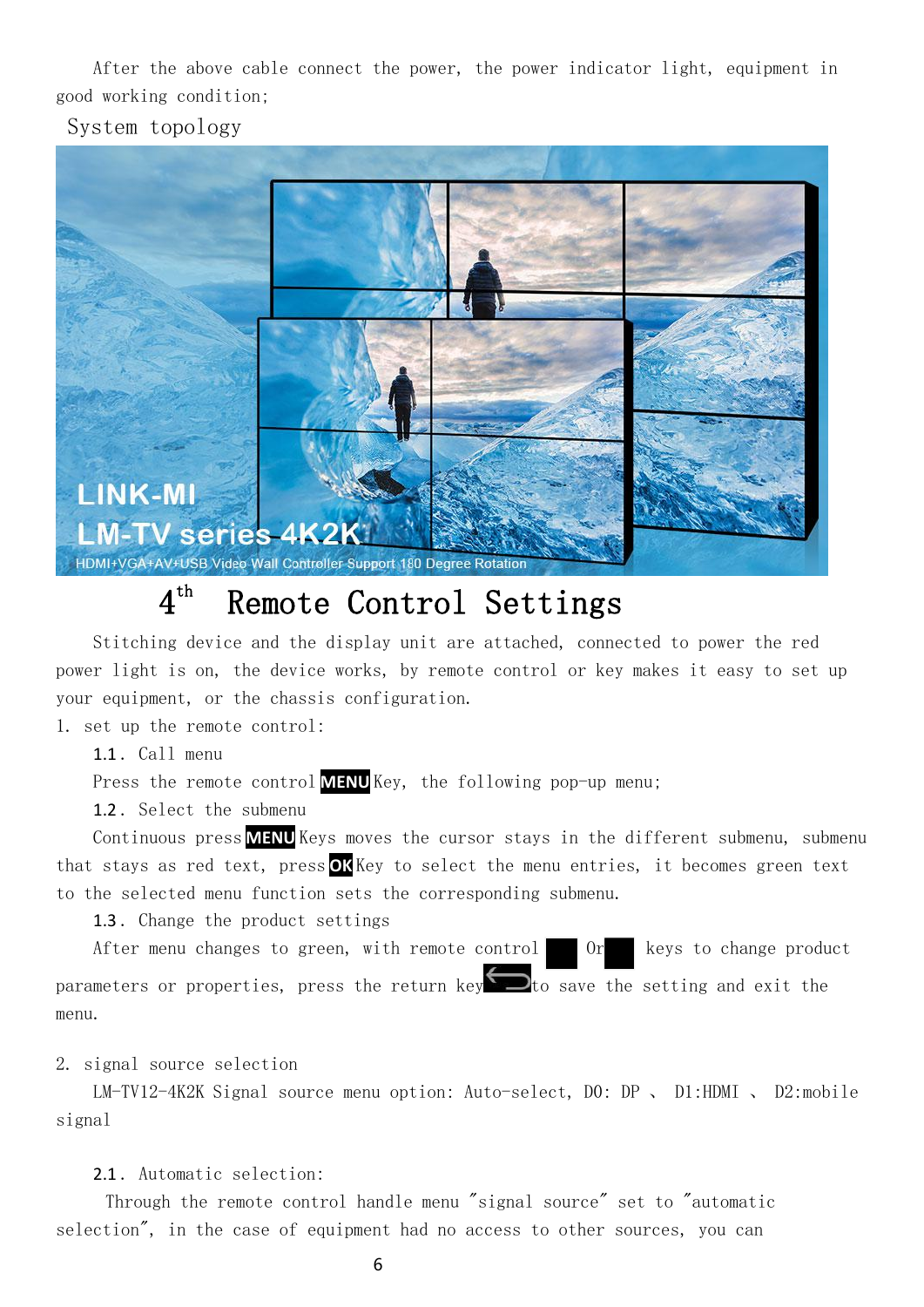After the above cable connect the power, the power indicator light, equipment in good working condition;

System topology



### 4 th Remote Control Settings

Stitching device and the display unit are attached, connected to power the red power light is on, the device works, by remote control or key makes it easy to set up your equipment, or the chassis configuration.

1. set up the remote control:

1.1 . Call menu

Press the remote control **MENU** Key, the following pop-up menu;

1.2 . Select the submenu

Continuous press **MENU** Keys moves the cursor stays in the different submenu, submenu that stays as red text, press **OK** Key to select the menu entries, it becomes green text to the selected menu function sets the corresponding submenu.

1.3 . Change the product settings

After menu changes to green, with remote control Or keys to change product parameters or properties, press the return key  $\Box$  to save the setting and exit the menu.

2. signal source selection

LM-TV12-4K2K Signal source menu option: Auto-select, D0: DP 、 D1:HDMI 、 D2:mobile signal

2.1 . Automatic selection:

Through the remote control handle menu "signal source" set to "automatic selection", in the case of equipment had no access to other sources, you can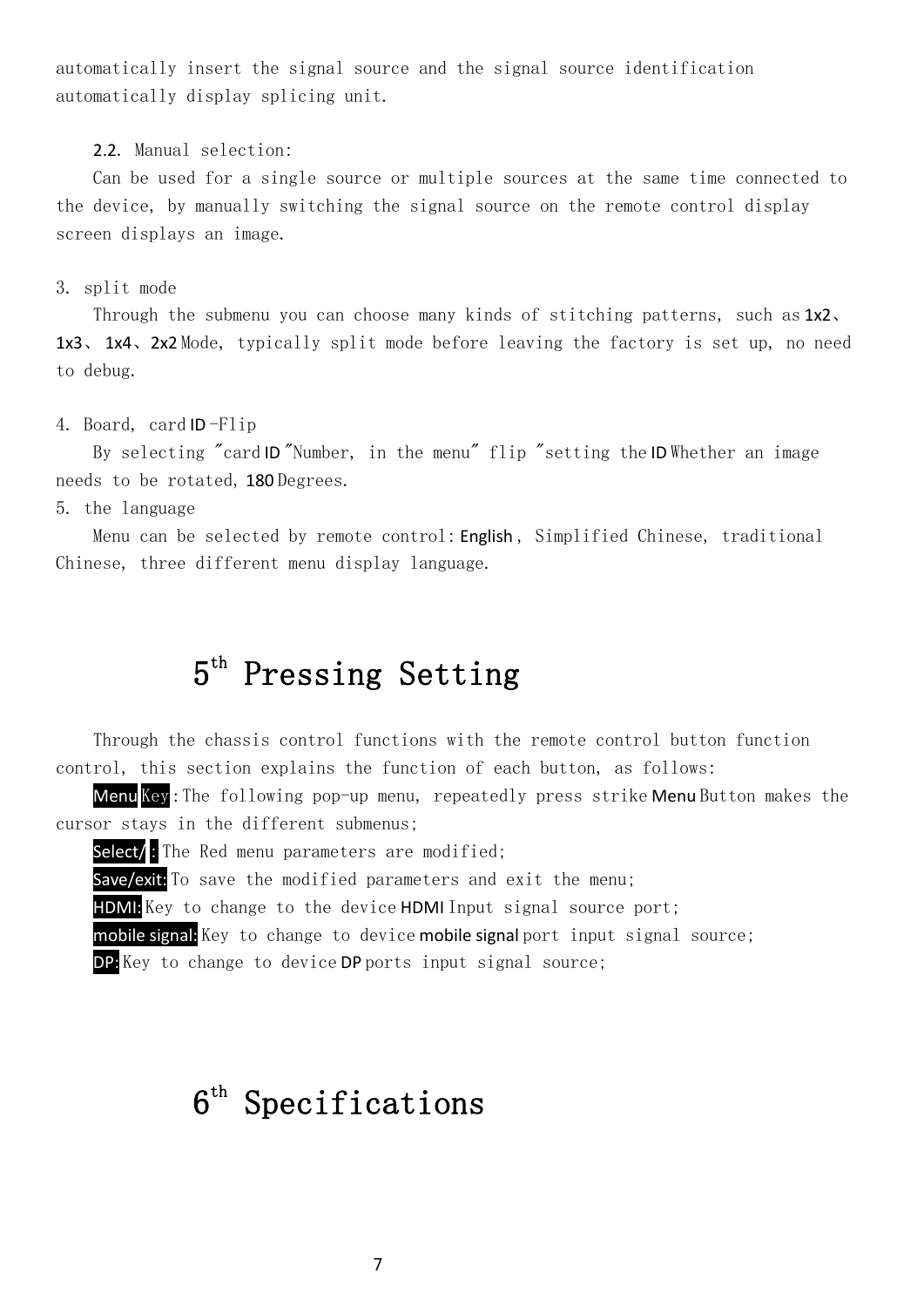automatically insert the signal source and the signal source identification automatically display splicing unit.

2.2. Manual selection:

Can be used for a single source or multiple sources at the same time connected to the device, by manually switching the signal source on the remote control display screen displays an image.

3. split mode

Through the submenu you can choose many kinds of stitching patterns, such as 1x2. 1x3、 1x4、2x2 Mode, typically split mode before leaving the factory is set up, no need to debug.

4. Board, card ID -Flip

By selecting "card ID "Number, in the menu" flip "setting the ID Whether an image needs to be rotated, 180 Degrees.

5. the language

Menu can be selected by remote control: English, Simplified Chinese, traditional Chinese, three different menu display language.

### 5 th Pressing Setting

Through the chassis control functions with the remote control button function control, this section explains the function of each button, as follows:

Menu Key : The following pop-up menu, repeatedly press strike Menu Button makes the cursor stays in the different submenus;

Select/: The Red menu parameters are modified;

Save/exit: To save the modified parameters and exit the menu;

HDMI: Key to change to the device HDMI Input signal source port;

mobile signal: Key to change to device mobile signal port input signal source;

DP: Key to change to device DP ports input signal source;

### $6^{\text{th}}$  Specifications